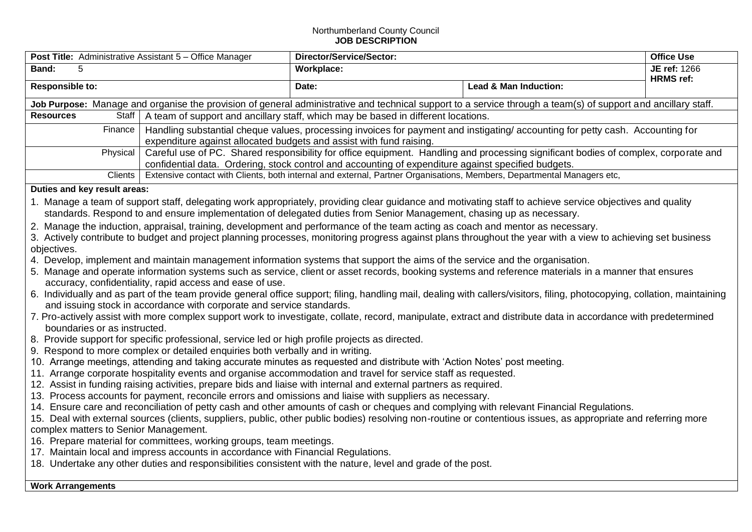## Northumberland County Council **JOB DESCRIPTION**

| <b>Post Title:</b> Administrative Assistant 5 – Office Manager                                                                                                                                                                                                                                                                                                                                                                                                                                                                                                                                                                                                                                                                                                                                                                                                                                                                                                                                                                                                                                                                                                                                                                                                                                                                                                                                                                                                                                                                                                                                                                                                                                                                                                                                                                                                                                                                                                                                                                                                                                                                                                                                                                                                                                                                                                                                                                                                                                                                                                                                                                                                                                                                                             |                                                                                                                                                                                                                                            | Director/Service/Sector:                                                                                               |                       | <b>Office Use</b> |  |  |
|------------------------------------------------------------------------------------------------------------------------------------------------------------------------------------------------------------------------------------------------------------------------------------------------------------------------------------------------------------------------------------------------------------------------------------------------------------------------------------------------------------------------------------------------------------------------------------------------------------------------------------------------------------------------------------------------------------------------------------------------------------------------------------------------------------------------------------------------------------------------------------------------------------------------------------------------------------------------------------------------------------------------------------------------------------------------------------------------------------------------------------------------------------------------------------------------------------------------------------------------------------------------------------------------------------------------------------------------------------------------------------------------------------------------------------------------------------------------------------------------------------------------------------------------------------------------------------------------------------------------------------------------------------------------------------------------------------------------------------------------------------------------------------------------------------------------------------------------------------------------------------------------------------------------------------------------------------------------------------------------------------------------------------------------------------------------------------------------------------------------------------------------------------------------------------------------------------------------------------------------------------------------------------------------------------------------------------------------------------------------------------------------------------------------------------------------------------------------------------------------------------------------------------------------------------------------------------------------------------------------------------------------------------------------------------------------------------------------------------------------------------|--------------------------------------------------------------------------------------------------------------------------------------------------------------------------------------------------------------------------------------------|------------------------------------------------------------------------------------------------------------------------|-----------------------|-------------------|--|--|
| Band:<br>5                                                                                                                                                                                                                                                                                                                                                                                                                                                                                                                                                                                                                                                                                                                                                                                                                                                                                                                                                                                                                                                                                                                                                                                                                                                                                                                                                                                                                                                                                                                                                                                                                                                                                                                                                                                                                                                                                                                                                                                                                                                                                                                                                                                                                                                                                                                                                                                                                                                                                                                                                                                                                                                                                                                                                 |                                                                                                                                                                                                                                            | Workplace:                                                                                                             |                       | JE ref: 1266      |  |  |
| <b>Responsible to:</b>                                                                                                                                                                                                                                                                                                                                                                                                                                                                                                                                                                                                                                                                                                                                                                                                                                                                                                                                                                                                                                                                                                                                                                                                                                                                                                                                                                                                                                                                                                                                                                                                                                                                                                                                                                                                                                                                                                                                                                                                                                                                                                                                                                                                                                                                                                                                                                                                                                                                                                                                                                                                                                                                                                                                     |                                                                                                                                                                                                                                            | Date:                                                                                                                  | Lead & Man Induction: | <b>HRMS</b> ref:  |  |  |
| Job Purpose: Manage and organise the provision of general administrative and technical support to a service through a team(s) of support and ancillary staff.                                                                                                                                                                                                                                                                                                                                                                                                                                                                                                                                                                                                                                                                                                                                                                                                                                                                                                                                                                                                                                                                                                                                                                                                                                                                                                                                                                                                                                                                                                                                                                                                                                                                                                                                                                                                                                                                                                                                                                                                                                                                                                                                                                                                                                                                                                                                                                                                                                                                                                                                                                                              |                                                                                                                                                                                                                                            |                                                                                                                        |                       |                   |  |  |
| <b>Resources</b>                                                                                                                                                                                                                                                                                                                                                                                                                                                                                                                                                                                                                                                                                                                                                                                                                                                                                                                                                                                                                                                                                                                                                                                                                                                                                                                                                                                                                                                                                                                                                                                                                                                                                                                                                                                                                                                                                                                                                                                                                                                                                                                                                                                                                                                                                                                                                                                                                                                                                                                                                                                                                                                                                                                                           |                                                                                                                                                                                                                                            | Staff   A team of support and ancillary staff, which may be based in different locations.                              |                       |                   |  |  |
| Finance                                                                                                                                                                                                                                                                                                                                                                                                                                                                                                                                                                                                                                                                                                                                                                                                                                                                                                                                                                                                                                                                                                                                                                                                                                                                                                                                                                                                                                                                                                                                                                                                                                                                                                                                                                                                                                                                                                                                                                                                                                                                                                                                                                                                                                                                                                                                                                                                                                                                                                                                                                                                                                                                                                                                                    | Handling substantial cheque values, processing invoices for payment and instigating/accounting for petty cash. Accounting for<br>expenditure against allocated budgets and assist with fund raising.                                       |                                                                                                                        |                       |                   |  |  |
| Physical                                                                                                                                                                                                                                                                                                                                                                                                                                                                                                                                                                                                                                                                                                                                                                                                                                                                                                                                                                                                                                                                                                                                                                                                                                                                                                                                                                                                                                                                                                                                                                                                                                                                                                                                                                                                                                                                                                                                                                                                                                                                                                                                                                                                                                                                                                                                                                                                                                                                                                                                                                                                                                                                                                                                                   | Careful use of PC. Shared responsibility for office equipment. Handling and processing significant bodies of complex, corporate and<br>confidential data. Ordering, stock control and accounting of expenditure against specified budgets. |                                                                                                                        |                       |                   |  |  |
| Clients                                                                                                                                                                                                                                                                                                                                                                                                                                                                                                                                                                                                                                                                                                                                                                                                                                                                                                                                                                                                                                                                                                                                                                                                                                                                                                                                                                                                                                                                                                                                                                                                                                                                                                                                                                                                                                                                                                                                                                                                                                                                                                                                                                                                                                                                                                                                                                                                                                                                                                                                                                                                                                                                                                                                                    |                                                                                                                                                                                                                                            | Extensive contact with Clients, both internal and external, Partner Organisations, Members, Departmental Managers etc, |                       |                   |  |  |
|                                                                                                                                                                                                                                                                                                                                                                                                                                                                                                                                                                                                                                                                                                                                                                                                                                                                                                                                                                                                                                                                                                                                                                                                                                                                                                                                                                                                                                                                                                                                                                                                                                                                                                                                                                                                                                                                                                                                                                                                                                                                                                                                                                                                                                                                                                                                                                                                                                                                                                                                                                                                                                                                                                                                                            |                                                                                                                                                                                                                                            |                                                                                                                        |                       |                   |  |  |
| Duties and key result areas:<br>1. Manage a team of support staff, delegating work appropriately, providing clear guidance and motivating staff to achieve service objectives and quality<br>standards. Respond to and ensure implementation of delegated duties from Senior Management, chasing up as necessary.<br>2. Manage the induction, appraisal, training, development and performance of the team acting as coach and mentor as necessary.<br>3. Actively contribute to budget and project planning processes, monitoring progress against plans throughout the year with a view to achieving set business<br>objectives.<br>4. Develop, implement and maintain management information systems that support the aims of the service and the organisation.<br>5. Manage and operate information systems such as service, client or asset records, booking systems and reference materials in a manner that ensures<br>accuracy, confidentiality, rapid access and ease of use.<br>6. Individually and as part of the team provide general office support; filing, handling mail, dealing with callers/visitors, filing, photocopying, collation, maintaining<br>and issuing stock in accordance with corporate and service standards.<br>7. Pro-actively assist with more complex support work to investigate, collate, record, manipulate, extract and distribute data in accordance with predetermined<br>boundaries or as instructed.<br>8. Provide support for specific professional, service led or high profile projects as directed.<br>9. Respond to more complex or detailed enquiries both verbally and in writing.<br>10. Arrange meetings, attending and taking accurate minutes as requested and distribute with 'Action Notes' post meeting.<br>11. Arrange corporate hospitality events and organise accommodation and travel for service staff as requested.<br>12. Assist in funding raising activities, prepare bids and liaise with internal and external partners as required.<br>13. Process accounts for payment, reconcile errors and omissions and liaise with suppliers as necessary.<br>14. Ensure care and reconciliation of petty cash and other amounts of cash or cheques and complying with relevant Financial Regulations.<br>15. Deal with external sources (clients, suppliers, public, other public bodies) resolving non-routine or contentious issues, as appropriate and referring more<br>complex matters to Senior Management.<br>16. Prepare material for committees, working groups, team meetings.<br>17. Maintain local and impress accounts in accordance with Financial Regulations.<br>18. Undertake any other duties and responsibilities consistent with the nature, level and grade of the post. |                                                                                                                                                                                                                                            |                                                                                                                        |                       |                   |  |  |
| <b>Work Arrangements</b>                                                                                                                                                                                                                                                                                                                                                                                                                                                                                                                                                                                                                                                                                                                                                                                                                                                                                                                                                                                                                                                                                                                                                                                                                                                                                                                                                                                                                                                                                                                                                                                                                                                                                                                                                                                                                                                                                                                                                                                                                                                                                                                                                                                                                                                                                                                                                                                                                                                                                                                                                                                                                                                                                                                                   |                                                                                                                                                                                                                                            |                                                                                                                        |                       |                   |  |  |
|                                                                                                                                                                                                                                                                                                                                                                                                                                                                                                                                                                                                                                                                                                                                                                                                                                                                                                                                                                                                                                                                                                                                                                                                                                                                                                                                                                                                                                                                                                                                                                                                                                                                                                                                                                                                                                                                                                                                                                                                                                                                                                                                                                                                                                                                                                                                                                                                                                                                                                                                                                                                                                                                                                                                                            |                                                                                                                                                                                                                                            |                                                                                                                        |                       |                   |  |  |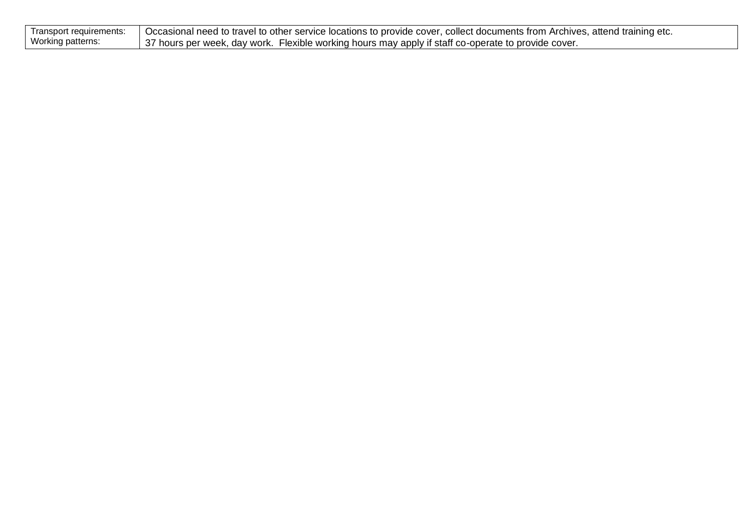| Transport requirements: | Decasional need to travel to other service locations to provide cover, collect documents from Archives, attend training etc. |
|-------------------------|------------------------------------------------------------------------------------------------------------------------------|
| Working patterns:       | 37 hours per week, day work. Flexible working hours may apply if staff co-operate to provide cover.                          |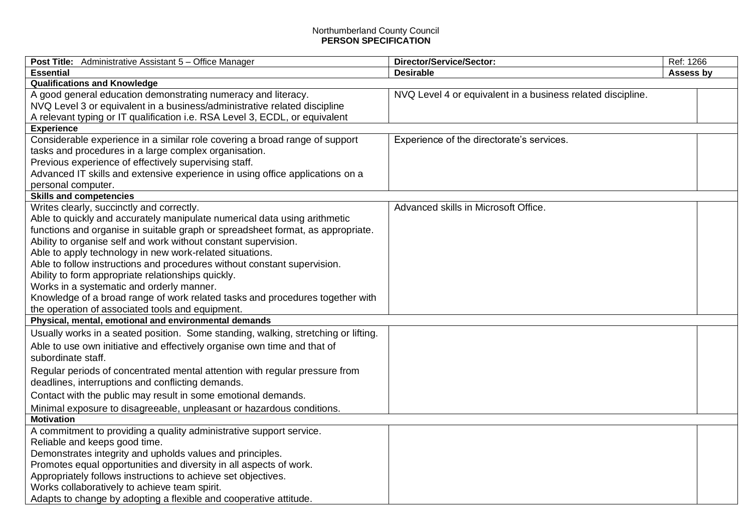## Northumberland County Council **PERSON SPECIFICATION**

| <b>Post Title:</b> Administrative Assistant 5 – Office Manager                     | Director/Service/Sector:                                    | Ref: 1266 |
|------------------------------------------------------------------------------------|-------------------------------------------------------------|-----------|
| <b>Essential</b>                                                                   | <b>Desirable</b>                                            | Assess by |
| <b>Qualifications and Knowledge</b>                                                |                                                             |           |
| A good general education demonstrating numeracy and literacy.                      | NVQ Level 4 or equivalent in a business related discipline. |           |
| NVQ Level 3 or equivalent in a business/administrative related discipline          |                                                             |           |
| A relevant typing or IT qualification i.e. RSA Level 3, ECDL, or equivalent        |                                                             |           |
| <b>Experience</b>                                                                  |                                                             |           |
| Considerable experience in a similar role covering a broad range of support        | Experience of the directorate's services.                   |           |
| tasks and procedures in a large complex organisation.                              |                                                             |           |
| Previous experience of effectively supervising staff.                              |                                                             |           |
| Advanced IT skills and extensive experience in using office applications on a      |                                                             |           |
| personal computer.                                                                 |                                                             |           |
| <b>Skills and competencies</b>                                                     |                                                             |           |
| Writes clearly, succinctly and correctly.                                          | Advanced skills in Microsoft Office.                        |           |
| Able to quickly and accurately manipulate numerical data using arithmetic          |                                                             |           |
| functions and organise in suitable graph or spreadsheet format, as appropriate.    |                                                             |           |
| Ability to organise self and work without constant supervision.                    |                                                             |           |
| Able to apply technology in new work-related situations.                           |                                                             |           |
| Able to follow instructions and procedures without constant supervision.           |                                                             |           |
| Ability to form appropriate relationships quickly.                                 |                                                             |           |
| Works in a systematic and orderly manner.                                          |                                                             |           |
| Knowledge of a broad range of work related tasks and procedures together with      |                                                             |           |
| the operation of associated tools and equipment.                                   |                                                             |           |
| Physical, mental, emotional and environmental demands                              |                                                             |           |
| Usually works in a seated position. Some standing, walking, stretching or lifting. |                                                             |           |
| Able to use own initiative and effectively organise own time and that of           |                                                             |           |
| subordinate staff.                                                                 |                                                             |           |
| Regular periods of concentrated mental attention with regular pressure from        |                                                             |           |
| deadlines, interruptions and conflicting demands.                                  |                                                             |           |
| Contact with the public may result in some emotional demands.                      |                                                             |           |
| Minimal exposure to disagreeable, unpleasant or hazardous conditions.              |                                                             |           |
| <b>Motivation</b>                                                                  |                                                             |           |
| A commitment to providing a quality administrative support service.                |                                                             |           |
| Reliable and keeps good time.                                                      |                                                             |           |
| Demonstrates integrity and upholds values and principles.                          |                                                             |           |
| Promotes equal opportunities and diversity in all aspects of work.                 |                                                             |           |
| Appropriately follows instructions to achieve set objectives.                      |                                                             |           |
| Works collaboratively to achieve team spirit.                                      |                                                             |           |
| Adapts to change by adopting a flexible and cooperative attitude.                  |                                                             |           |